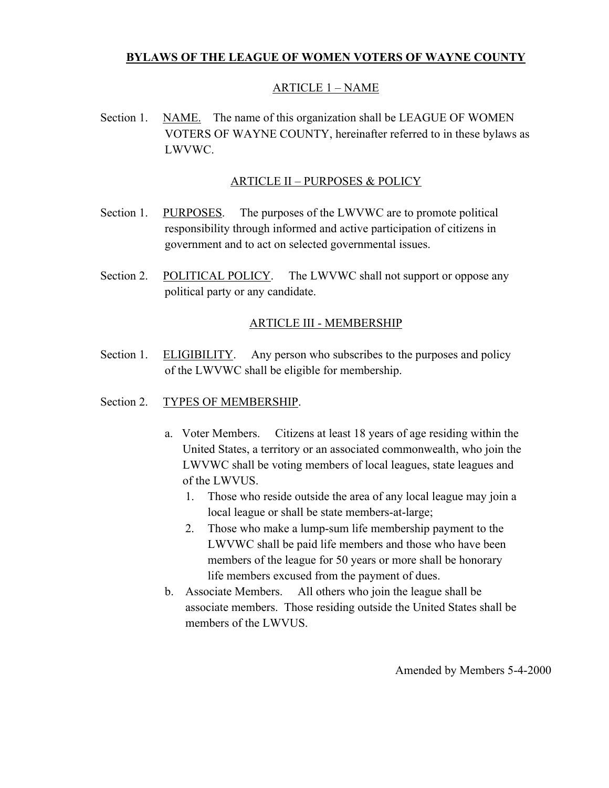# **BYLAWS OF THE LEAGUE OF WOMEN VOTERS OF WAYNE COUNTY**

# ARTICLE 1 – NAME

Section 1. NAME. The name of this organization shall be LEAGUE OF WOMEN VOTERS OF WAYNE COUNTY, hereinafter referred to in these bylaws as LWVWC.

## ARTICLE II – PURPOSES & POLICY

- Section 1. PURPOSES. The purposes of the LWVWC are to promote political responsibility through informed and active participation of citizens in government and to act on selected governmental issues.
- Section 2. POLITICAL POLICY. The LWVWC shall not support or oppose any political party or any candidate.

# ARTICLE III - MEMBERSHIP

- Section 1. ELIGIBILITY. Any person who subscribes to the purposes and policy of the LWVWC shall be eligible for membership.
- Section 2. TYPES OF MEMBERSHIP.
	- a. Voter Members. Citizens at least 18 years of age residing within the United States, a territory or an associated commonwealth, who join the LWVWC shall be voting members of local leagues, state leagues and of the LWVUS.
		- 1. Those who reside outside the area of any local league may join a local league or shall be state members-at-large;
		- 2. Those who make a lump-sum life membership payment to the LWVWC shall be paid life members and those who have been members of the league for 50 years or more shall be honorary life members excused from the payment of dues.
	- b. Associate Members. All others who join the league shall be associate members. Those residing outside the United States shall be members of the LWVUS.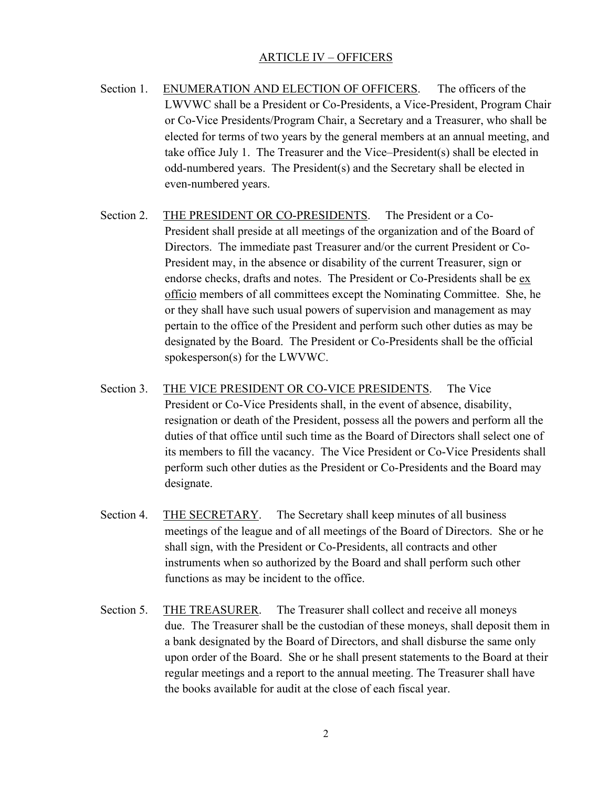## ARTICLE IV – OFFICERS

- Section 1. ENUMERATION AND ELECTION OF OFFICERS. The officers of the LWVWC shall be a President or Co-Presidents, a Vice-President, Program Chair or Co-Vice Presidents/Program Chair, a Secretary and a Treasurer, who shall be elected for terms of two years by the general members at an annual meeting, and take office July 1. The Treasurer and the Vice–President(s) shall be elected in odd-numbered years. The President(s) and the Secretary shall be elected in even-numbered years.
- Section 2. THE PRESIDENT OR CO-PRESIDENTS. The President or a Co-President shall preside at all meetings of the organization and of the Board of Directors. The immediate past Treasurer and/or the current President or Co-President may, in the absence or disability of the current Treasurer, sign or endorse checks, drafts and notes. The President or Co-Presidents shall be exofficio members of all committees except the Nominating Committee. She, he or they shall have such usual powers of supervision and management as may pertain to the office of the President and perform such other duties as may be designated by the Board. The President or Co-Presidents shall be the official spokesperson(s) for the LWVWC.
- Section 3. THE VICE PRESIDENT OR CO-VICE PRESIDENTS. The Vice President or Co-Vice Presidents shall, in the event of absence, disability, resignation or death of the President, possess all the powers and perform all the duties of that office until such time as the Board of Directors shall select one of its members to fill the vacancy. The Vice President or Co-Vice Presidents shall perform such other duties as the President or Co-Presidents and the Board may designate.
- Section 4. THE SECRETARY. The Secretary shall keep minutes of all business meetings of the league and of all meetings of the Board of Directors. She or he shall sign, with the President or Co-Presidents, all contracts and other instruments when so authorized by the Board and shall perform such other functions as may be incident to the office.
- Section 5. THE TREASURER. The Treasurer shall collect and receive all moneys due. The Treasurer shall be the custodian of these moneys, shall deposit them in a bank designated by the Board of Directors, and shall disburse the same only upon order of the Board. She or he shall present statements to the Board at their regular meetings and a report to the annual meeting. The Treasurer shall have the books available for audit at the close of each fiscal year.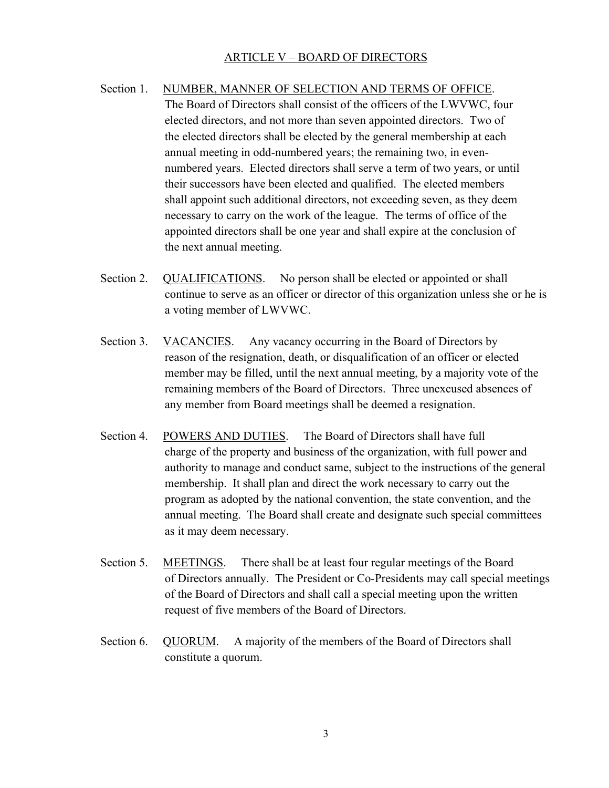# ARTICLE V – BOARD OF DIRECTORS

- Section 1. NUMBER, MANNER OF SELECTION AND TERMS OF OFFICE. The Board of Directors shall consist of the officers of the LWVWC, four elected directors, and not more than seven appointed directors. Two of the elected directors shall be elected by the general membership at each annual meeting in odd-numbered years; the remaining two, in evennumbered years. Elected directors shall serve a term of two years, or until their successors have been elected and qualified. The elected members shall appoint such additional directors, not exceeding seven, as they deem necessary to carry on the work of the league. The terms of office of the appointed directors shall be one year and shall expire at the conclusion of the next annual meeting.
- Section 2. QUALIFICATIONS. No person shall be elected or appointed or shall continue to serve as an officer or director of this organization unless she or he is a voting member of LWVWC.
- Section 3. VACANCIES. Any vacancy occurring in the Board of Directors by reason of the resignation, death, or disqualification of an officer or elected member may be filled, until the next annual meeting, by a majority vote of the remaining members of the Board of Directors. Three unexcused absences of any member from Board meetings shall be deemed a resignation.
- Section 4. POWERS AND DUTIES. The Board of Directors shall have full charge of the property and business of the organization, with full power and authority to manage and conduct same, subject to the instructions of the general membership. It shall plan and direct the work necessary to carry out the program as adopted by the national convention, the state convention, and the annual meeting. The Board shall create and designate such special committees as it may deem necessary.
- Section 5. MEETINGS. There shall be at least four regular meetings of the Board of Directors annually. The President or Co-Presidents may call special meetings of the Board of Directors and shall call a special meeting upon the written request of five members of the Board of Directors.
- Section 6. QUORUM. A majority of the members of the Board of Directors shall constitute a quorum.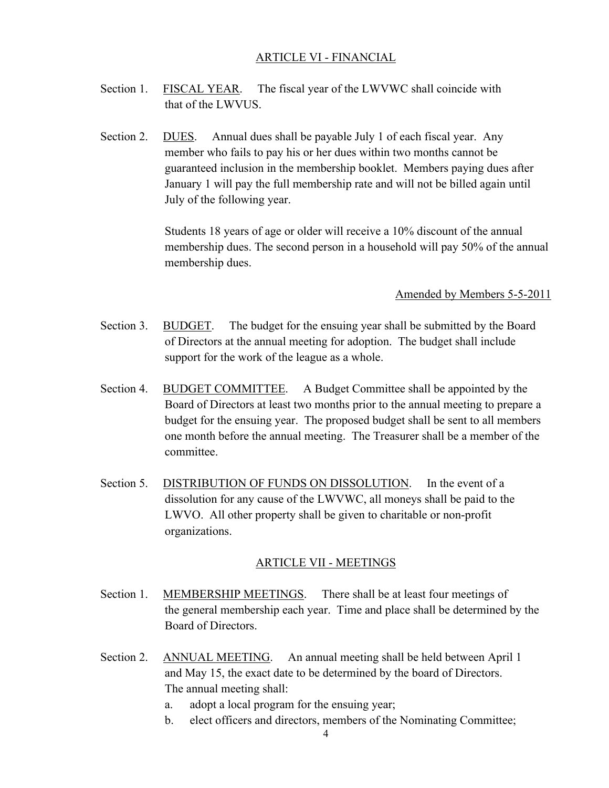### ARTICLE VI - FINANCIAL

- Section 1. FISCAL YEAR. The fiscal year of the LWVWC shall coincide with that of the LWVUS.
- Section 2. DUES. Annual dues shall be payable July 1 of each fiscal year. Any member who fails to pay his or her dues within two months cannot be guaranteed inclusion in the membership booklet. Members paying dues after January 1 will pay the full membership rate and will not be billed again until July of the following year.

Students 18 years of age or older will receive a 10% discount of the annual membership dues. The second person in a household will pay 50% of the annual membership dues.

Amended by Members 5-5-2011

- Section 3. BUDGET. The budget for the ensuing year shall be submitted by the Board of Directors at the annual meeting for adoption. The budget shall include support for the work of the league as a whole.
- Section 4. BUDGET COMMITTEE. A Budget Committee shall be appointed by the Board of Directors at least two months prior to the annual meeting to prepare a budget for the ensuing year. The proposed budget shall be sent to all members one month before the annual meeting. The Treasurer shall be a member of the committee.
- Section 5. DISTRIBUTION OF FUNDS ON DISSOLUTION. In the event of a dissolution for any cause of the LWVWC, all moneys shall be paid to the LWVO. All other property shall be given to charitable or non-profit organizations.

#### ARTICLE VII - MEETINGS

- Section 1. MEMBERSHIP MEETINGS. There shall be at least four meetings of the general membership each year. Time and place shall be determined by the Board of Directors.
- Section 2. ANNUAL MEETING. An annual meeting shall be held between April 1 and May 15, the exact date to be determined by the board of Directors. The annual meeting shall:
	- a. adopt a local program for the ensuing year;
	- b. elect officers and directors, members of the Nominating Committee;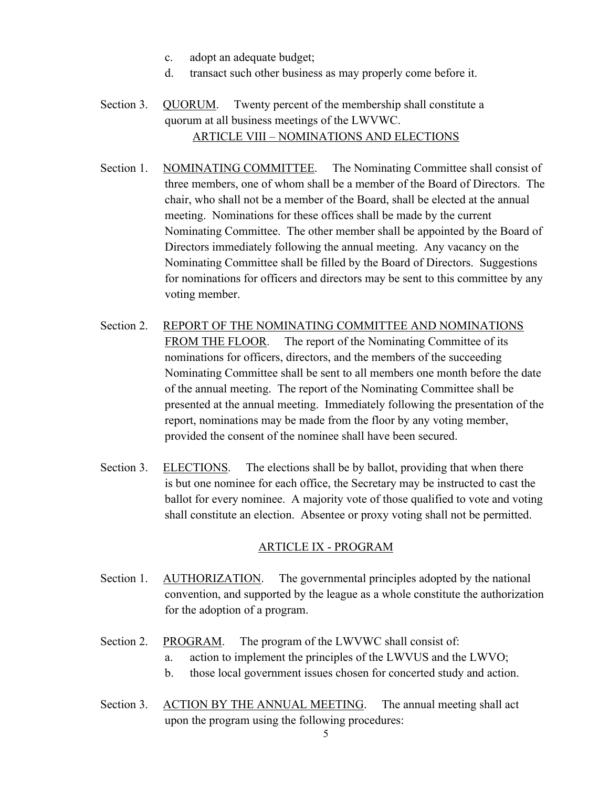- c. adopt an adequate budget;
- d. transact such other business as may properly come before it.
- Section 3. QUORUM. Twenty percent of the membership shall constitute a quorum at all business meetings of the LWVWC. ARTICLE VIII – NOMINATIONS AND ELECTIONS
- Section 1. NOMINATING COMMITTEE. The Nominating Committee shall consist of three members, one of whom shall be a member of the Board of Directors. The chair, who shall not be a member of the Board, shall be elected at the annual meeting. Nominations for these offices shall be made by the current Nominating Committee. The other member shall be appointed by the Board of Directors immediately following the annual meeting. Any vacancy on the Nominating Committee shall be filled by the Board of Directors. Suggestions for nominations for officers and directors may be sent to this committee by any voting member.
- Section 2. REPORT OF THE NOMINATING COMMITTEE AND NOMINATIONS FROM THE FLOOR. The report of the Nominating Committee of its nominations for officers, directors, and the members of the succeeding Nominating Committee shall be sent to all members one month before the date of the annual meeting. The report of the Nominating Committee shall be presented at the annual meeting. Immediately following the presentation of the report, nominations may be made from the floor by any voting member, provided the consent of the nominee shall have been secured.
- Section 3. ELECTIONS. The elections shall be by ballot, providing that when there is but one nominee for each office, the Secretary may be instructed to cast the ballot for every nominee. A majority vote of those qualified to vote and voting shall constitute an election. Absentee or proxy voting shall not be permitted.

### ARTICLE IX - PROGRAM

- Section 1. AUTHORIZATION. The governmental principles adopted by the national convention, and supported by the league as a whole constitute the authorization for the adoption of a program.
- Section 2. PROGRAM. The program of the LWVWC shall consist of:
	- a. action to implement the principles of the LWVUS and the LWVO;
	- b. those local government issues chosen for concerted study and action.
- Section 3. ACTION BY THE ANNUAL MEETING. The annual meeting shall act upon the program using the following procedures: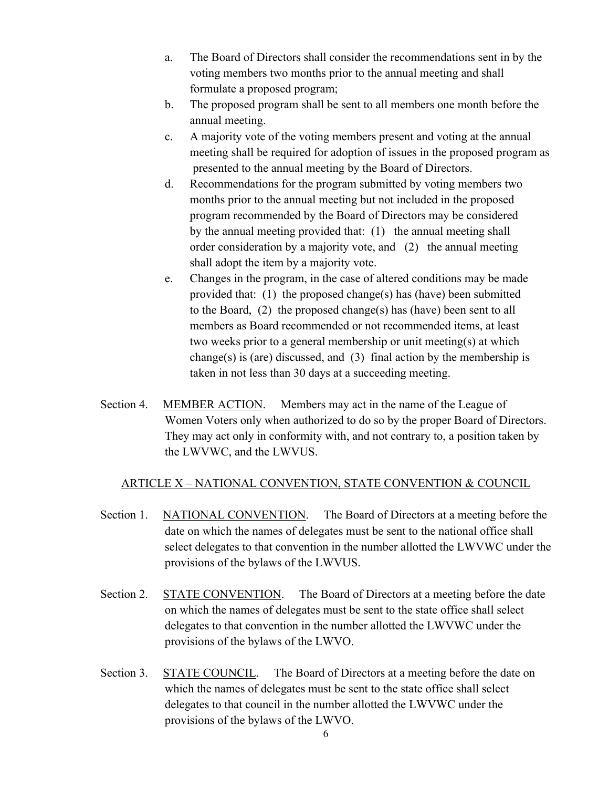- a. The Board of Directors shall consider the recommendations sent in by the voting members two months prior to the annual meeting and shall formulate a proposed program;
- b. The proposed program shall be sent to all members one month before the annual meeting.
- c. A majority vote of the voting members present and voting at the annual meeting shall be required for adoption of issues in the proposed program as presented to the annual meeting by the Board of Directors.
- d. Recommendations for the program submitted by voting members two months prior to the annual meeting but not included in the proposed program recommended by the Board of Directors may be considered by the annual meeting provided that: (1) the annual meeting shall order consideration by a majority vote, and (2) the annual meeting shall adopt the item by a majority vote.
- e. Changes in the program, in the case of altered conditions may be made provided that: (1) the proposed change(s) has (have) been submitted to the Board, (2) the proposed change(s) has (have) been sent to all members as Board recommended or not recommended items, at least two weeks prior to a general membership or unit meeting(s) at which change(s) is (are) discussed, and  $(3)$  final action by the membership is taken in not less than 30 days at a succeeding meeting.
- Section 4. MEMBER ACTION. Members may act in the name of the League of Women Voters only when authorized to do so by the proper Board of Directors. They may act only in conformity with, and not contrary to, a position taken by the LWVWC, and the LWVUS.

# ARTICLE X – NATIONAL CONVENTION, STATE CONVENTION & COUNCIL

- Section 1. NATIONAL CONVENTION. The Board of Directors at a meeting before the date on which the names of delegates must be sent to the national office shall select delegates to that convention in the number allotted the LWVWC under the provisions of the bylaws of the LWVUS.
- Section 2. STATE CONVENTION. The Board of Directors at a meeting before the date on which the names of delegates must be sent to the state office shall select delegates to that convention in the number allotted the LWVWC under the provisions of the bylaws of the LWVO.
- Section 3. STATE COUNCIL. The Board of Directors at a meeting before the date on which the names of delegates must be sent to the state office shall select delegates to that council in the number allotted the LWVWC under the provisions of the bylaws of the LWVO.